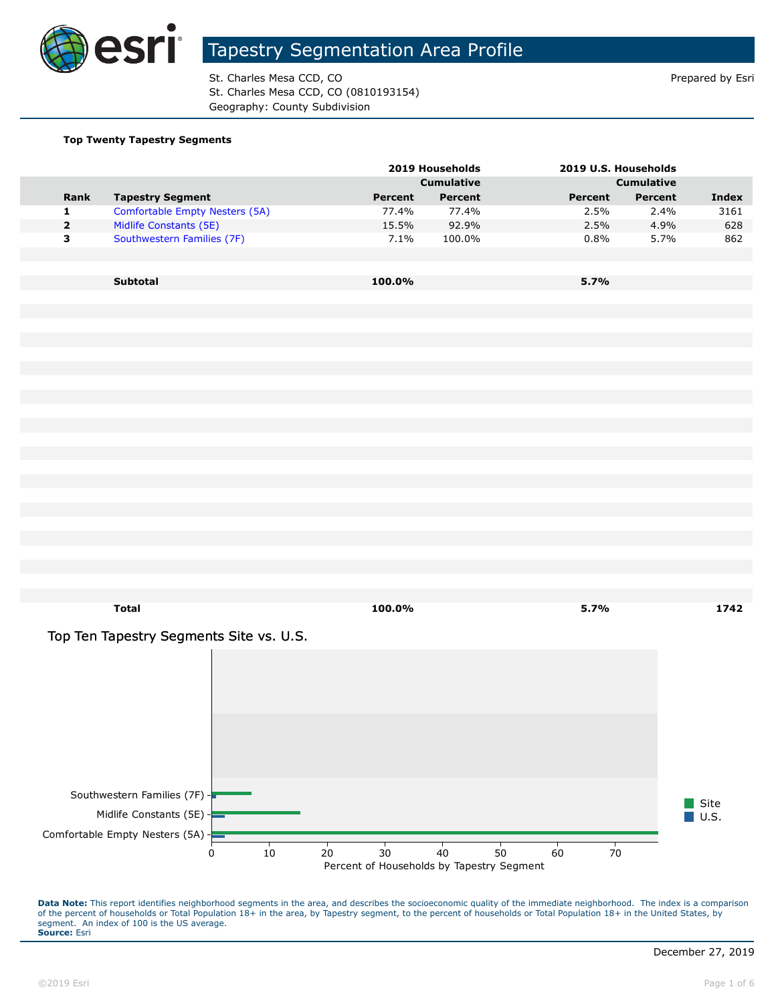

St. Charles Mesa CCD, CO **Prepared by Estimate St. Charles Mesa CCD**, CO St. Charles Mesa CCD, CO (0810193154) Geography: County Subdivision

#### **Top Twenty Tapestry Segments**

|             |                                         |         | 2019 Households   |         | 2019 U.S. Households |                     |
|-------------|-----------------------------------------|---------|-------------------|---------|----------------------|---------------------|
|             |                                         |         | <b>Cumulative</b> |         | <b>Cumulative</b>    |                     |
| Rank        | <b>Tapestry Segment</b>                 | Percent | Percent           | Percent | Percent              | <b>Index</b>        |
| 1           | Comfortable Empty Nesters (5A)          | 77.4%   | 77.4%             | 2.5%    | 2.4%                 | 3161                |
| $\mathbf 2$ | Midlife Constants (5E)                  | 15.5%   | 92.9%             | 2.5%    | 4.9%                 | 628                 |
| 3           | Southwestern Families (7F)              | 7.1%    | 100.0%            | 0.8%    | 5.7%                 | 862                 |
|             |                                         |         |                   |         |                      |                     |
|             |                                         |         |                   |         |                      |                     |
|             | Subtotal                                | 100.0%  |                   | 5.7%    |                      |                     |
|             |                                         |         |                   |         |                      |                     |
|             |                                         |         |                   |         |                      |                     |
|             |                                         |         |                   |         |                      |                     |
|             |                                         |         |                   |         |                      |                     |
|             |                                         |         |                   |         |                      |                     |
|             |                                         |         |                   |         |                      |                     |
|             |                                         |         |                   |         |                      |                     |
|             |                                         |         |                   |         |                      |                     |
|             |                                         |         |                   |         |                      |                     |
|             |                                         |         |                   |         |                      |                     |
|             |                                         |         |                   |         |                      |                     |
|             |                                         |         |                   |         |                      |                     |
|             |                                         |         |                   |         |                      |                     |
|             |                                         |         |                   |         |                      |                     |
|             |                                         |         |                   |         |                      |                     |
|             |                                         |         |                   |         |                      |                     |
|             |                                         |         |                   |         |                      |                     |
|             |                                         |         |                   |         |                      |                     |
|             |                                         |         |                   |         |                      |                     |
|             |                                         |         |                   |         |                      |                     |
|             |                                         |         |                   |         |                      |                     |
|             |                                         |         |                   |         |                      |                     |
|             | <b>Total</b>                            | 100.0%  |                   | 5.7%    |                      | 1742                |
|             | Top Ten Tapestry Segments Site vs. U.S. |         |                   |         |                      |                     |
|             |                                         |         |                   |         |                      |                     |
|             |                                         |         |                   |         |                      |                     |
|             |                                         |         |                   |         |                      |                     |
|             |                                         |         |                   |         |                      |                     |
|             |                                         |         |                   |         |                      |                     |
|             |                                         |         |                   |         |                      |                     |
|             |                                         |         |                   |         |                      |                     |
|             |                                         |         |                   |         |                      |                     |
|             |                                         |         |                   |         |                      |                     |
|             |                                         |         |                   |         |                      |                     |
|             | Southwestern Families (7F) -            |         |                   |         |                      |                     |
|             |                                         |         |                   |         |                      | Site                |
|             | Midlife Constants (5E) $-$              |         |                   |         |                      | $\blacksquare$ U.S. |
|             | Comfortable Empty Nesters (5A) +        |         |                   |         |                      |                     |

Data Note: This report identifies neighborhood segments in the area, and describes the socioeconomic quality of the immediate neighborhood. The index is a comparison of the percent of households or Total Population 18+ in the area, by Tapestry segment, to the percent of households or Total Population 18+ in the United States, by segment. An index of 100 is the US average. **Source:** Esri

Percent of Households by Tapestry Segment 0 10 20 30 40 50 60 70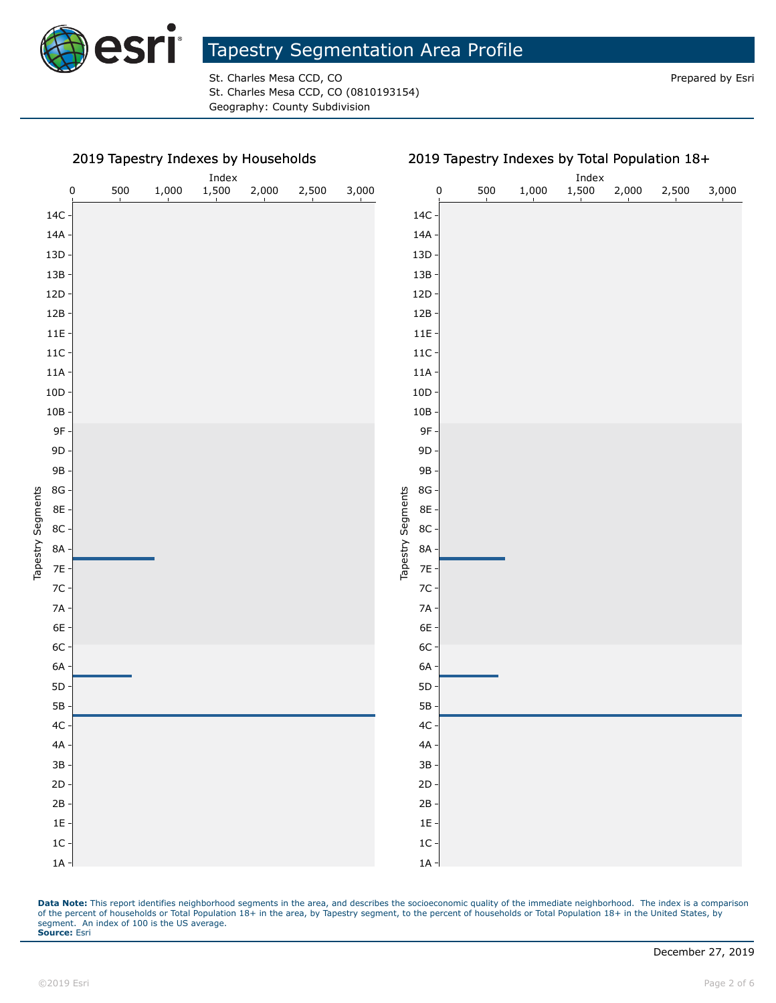

St. Charles Mesa CCD, CO **Prepared by Estimate St. Charles Mesa CCD**, CO St. Charles Mesa CCD, CO (0810193154) Geography: County Subdivision

#### 2019 Tapestry Indexes by Households

Index<br>1,500

#### 2019 Tapestry Indexes by Total Population 18+ Index 0 500 1,000 1,500 2,000 2,500 3,000 0 500 1,000 1,500 2,000 2,500 3,000 14C 14A 13D 13B 12D 12B 11E 11C 11A 10D 10B 9F 9D 9B 8G Tapestry Segments Tapestry Segments 8E 8C 8A 7E 7C 7A 6E 6C 6A 5D 5B 4C 4A 3B 2D 2B 1E 1C 1A

Data Note: This report identifies neighborhood segments in the area, and describes the socioeconomic quality of the immediate neighborhood. The index is a comparison of the percent of households or Total Population 18+ in the area, by Tapestry segment, to the percent of households or Total Population 18+ in the United States, by segment. An index of 100 is the US average. **Source:** Esri

1A 1C 1E 2B 2D 3B 4A 4C 5B 5D 6A 6C 6E 7A 7C 7E 8A 8C 8E 8G 9B 9D 9F 10B 10D 11A 11C 11E 12B 12D 13B 13D 14A 14C

Tapestry Segments

Tapestry Segments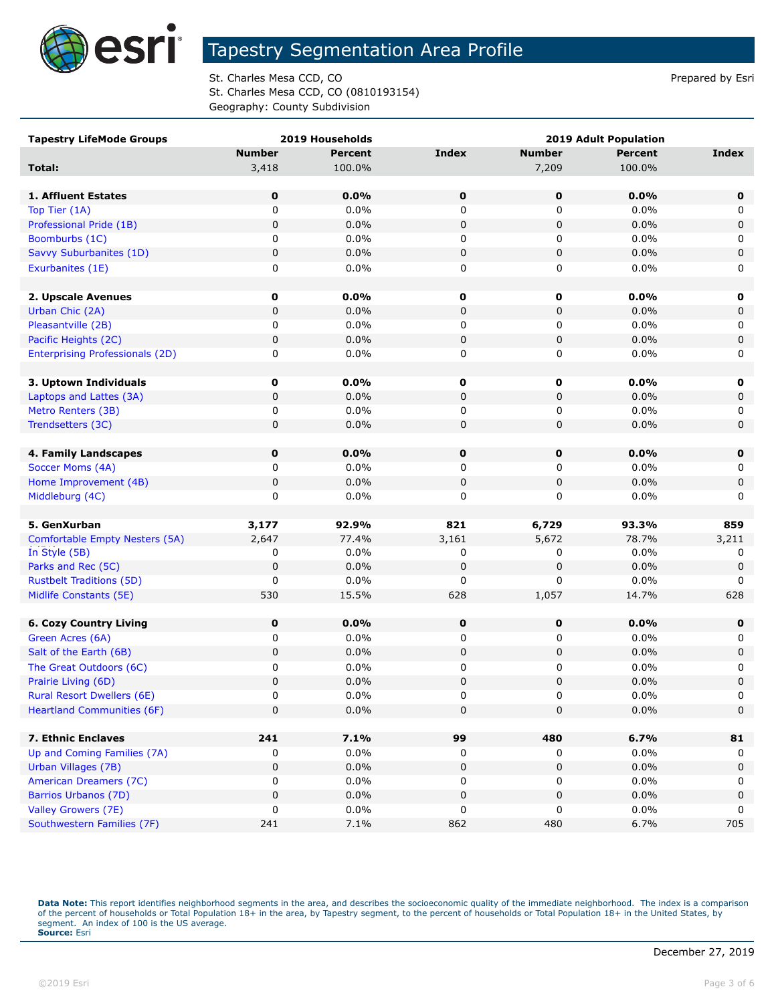

St. Charles Mesa CCD, CO **Prepared by Estimate St. Charles Mesa CCD**, CO St. Charles Mesa CCD, CO (0810193154) Geography: County Subdivision

| <b>Tapestry LifeMode Groups</b>        |               | 2019 Households |              |               | <b>2019 Adult Population</b> |              |
|----------------------------------------|---------------|-----------------|--------------|---------------|------------------------------|--------------|
|                                        | <b>Number</b> | <b>Percent</b>  | <b>Index</b> | <b>Number</b> | <b>Percent</b>               | <b>Index</b> |
| Total:                                 | 3,418         | 100.0%          |              | 7,209         | 100.0%                       |              |
|                                        |               |                 |              |               |                              |              |
| 1. Affluent Estates                    | 0             | $0.0\%$         | 0            | $\mathbf 0$   | 0.0%                         | $\mathbf 0$  |
| Top Tier (1A)                          | 0             | 0.0%            | 0            | 0             | 0.0%                         | 0            |
| Professional Pride (1B)                | 0             | 0.0%            | 0            | 0             | 0.0%                         | 0            |
| Boomburbs (1C)                         | 0             | 0.0%            | 0            | 0             | 0.0%                         | 0            |
| Savvy Suburbanites (1D)                | 0             | 0.0%            | 0            | $\mathbf 0$   | 0.0%                         | $\pmb{0}$    |
| Exurbanites (1E)                       | 0             | 0.0%            | 0            | 0             | 0.0%                         | 0            |
|                                        |               |                 |              |               |                              |              |
| 2. Upscale Avenues                     | $\mathbf 0$   | 0.0%            | 0            | 0             | 0.0%                         | 0            |
| Urban Chic (2A)                        | $\pmb{0}$     | 0.0%            | $\pmb{0}$    | $\pmb{0}$     | 0.0%                         | $\mathbf 0$  |
| Pleasantville (2B)                     | 0             | 0.0%            | 0            | 0             | 0.0%                         | 0            |
| Pacific Heights (2C)                   | 0             | 0.0%            | 0            | 0             | 0.0%                         | 0            |
| <b>Enterprising Professionals (2D)</b> | 0             | 0.0%            | 0            | 0             | 0.0%                         | 0            |
|                                        |               |                 |              |               |                              |              |
| 3. Uptown Individuals                  | 0             | 0.0%            | 0            | 0             | $0.0\%$                      | 0            |
| Laptops and Lattes (3A)                | 0             | 0.0%            | 0            | $\mathbf 0$   | 0.0%                         | 0            |
| Metro Renters (3B)                     | 0             | 0.0%            | 0            | 0             | 0.0%                         | 0            |
| Trendsetters (3C)                      | 0             | 0.0%            | 0            | 0             | 0.0%                         | $\mathbf 0$  |
|                                        |               |                 |              |               |                              |              |
| 4. Family Landscapes                   | 0             | $0.0\%$         | 0            | 0             | 0.0%                         | $\mathbf 0$  |
| Soccer Moms (4A)                       | 0             | 0.0%            | 0            | 0             | 0.0%                         | 0            |
| Home Improvement (4B)                  | 0             | 0.0%            | 0            | 0             | 0.0%                         | 0            |
| Middleburg (4C)                        | 0             | 0.0%            | 0            | 0             | 0.0%                         | 0            |
|                                        |               |                 |              |               |                              |              |
| 5. GenXurban                           | 3,177         | 92.9%           | 821          | 6,729         | 93.3%                        | 859          |
| <b>Comfortable Empty Nesters (5A)</b>  | 2,647         | 77.4%           | 3,161        | 5,672         | 78.7%                        | 3,211        |
| In Style (5B)                          | 0             | 0.0%            | 0            | 0             | 0.0%                         | 0            |
| Parks and Rec (5C)                     | 0             | 0.0%            | 0            | 0             | 0.0%                         | 0            |
| <b>Rustbelt Traditions (5D)</b>        | 0             | 0.0%            | 0            | 0             | 0.0%                         | 0            |
| Midlife Constants (5E)                 | 530           | 15.5%           | 628          | 1,057         | 14.7%                        | 628          |
|                                        |               |                 |              |               |                              |              |
| <b>6. Cozy Country Living</b>          | 0             | 0.0%            | 0            | $\mathbf 0$   | 0.0%                         | $\mathbf 0$  |
| Green Acres (6A)                       | 0             | 0.0%            | 0            | 0             | $0.0\%$                      | 0            |
| Salt of the Earth (6B)                 | 0             | 0.0%            | 0            | $\mathbf 0$   | 0.0%                         | 0            |
| The Great Outdoors (6C)                | 0             | 0.0%            | 0            | 0             | 0.0%                         | 0            |
| Prairie Living (6D)                    | 0             | 0.0%            | $\pmb{0}$    | 0             | 0.0%                         | $\mathbf 0$  |
| <b>Rural Resort Dwellers (6E)</b>      | U             | $0.0\%$         | O            | U             | $0.0\%$                      | U            |
| <b>Heartland Communities (6F)</b>      | 0             | 0.0%            | $\pmb{0}$    | 0             | 0.0%                         | $\mathbf 0$  |
|                                        |               |                 |              |               |                              |              |
| 7. Ethnic Enclaves                     | 241           | 7.1%            | 99           | 480           | 6.7%                         | 81           |
| Up and Coming Families (7A)            | 0             | 0.0%            | 0            | 0             | 0.0%                         | 0            |
| Urban Villages (7B)                    | 0             | 0.0%            | 0            | $\pmb{0}$     | 0.0%                         | $\mathbf 0$  |
| <b>American Dreamers (7C)</b>          | 0             | 0.0%            | 0            | 0             | $0.0\%$                      | 0            |
| Barrios Urbanos (7D)                   | 0             | 0.0%            | 0            | 0             | 0.0%                         | 0            |
| Valley Growers (7E)                    | 0             | 0.0%            | 0            | 0             | $0.0\%$                      | 0            |
| Southwestern Families (7F)             | 241           | 7.1%            | 862          | 480           | 6.7%                         | 705          |

Data Note: This report identifies neighborhood segments in the area, and describes the socioeconomic quality of the immediate neighborhood. The index is a comparison of the percent of households or Total Population 18+ in the area, by Tapestry segment, to the percent of households or Total Population 18+ in the United States, by<br>segment. An index of 100 is the US average.<br>**Source:** Es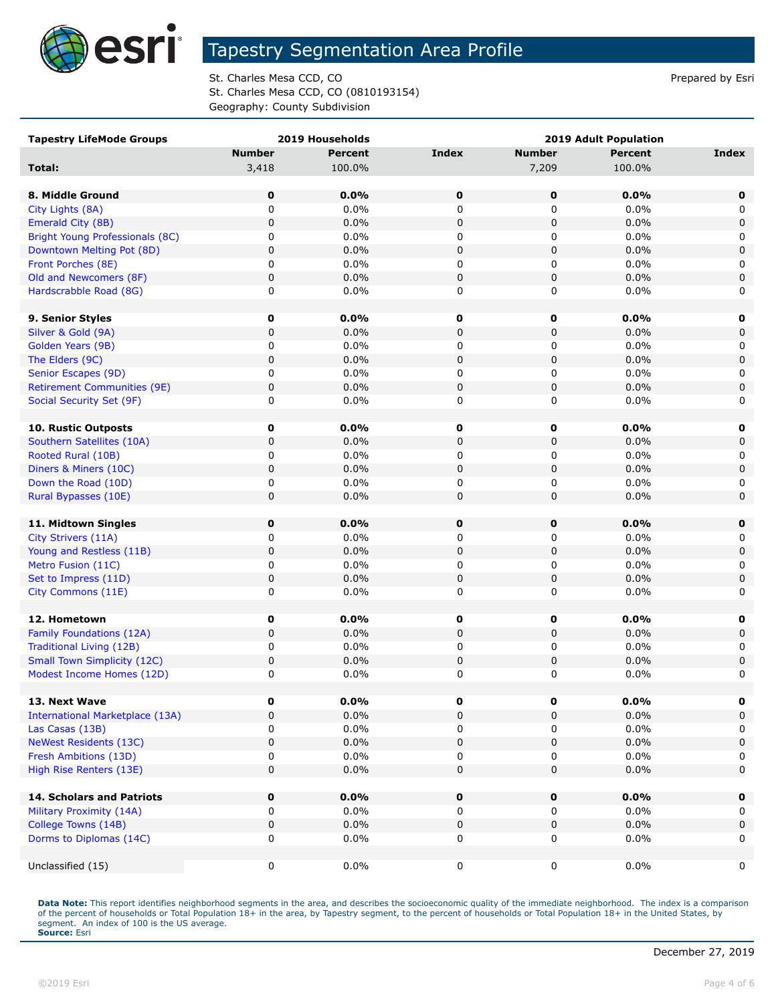

St. Charles Mesa CCD, CO **Prepared by Estimate St. Charles Mesa CCD**, CO St. Charles Mesa CCD, CO (0810193154) Geography: County Subdivision

| <b>Tapestry LifeMode Groups</b>        |               | 2019 Households |                  |                | 2019 Adult Population |                  |
|----------------------------------------|---------------|-----------------|------------------|----------------|-----------------------|------------------|
|                                        | <b>Number</b> | <b>Percent</b>  | Index            | <b>Number</b>  | <b>Percent</b>        | Index            |
| Total:                                 | 3,418         | 100.0%          |                  | 7,209          | 100.0%                |                  |
|                                        |               |                 |                  |                |                       |                  |
| 8. Middle Ground                       | 0             | 0.0%            | 0                | 0              | 0.0%                  | 0                |
| City Lights (8A)                       | 0             | 0.0%            | 0                | 0              | 0.0%                  | $\Omega$         |
| Emerald City (8B)                      | 0             | 0.0%            | 0                | 0              | 0.0%                  | $\mathbf 0$      |
| Bright Young Professionals (8C)        | 0             | 0.0%            | 0                | 0              | 0.0%                  | 0                |
| Downtown Melting Pot (8D)              | 0             | 0.0%            | $\mathbf 0$      | $\pmb{0}$      | 0.0%                  | $\mathbf 0$      |
| Front Porches (8E)                     | 0             | 0.0%            | 0                | 0              | 0.0%                  | 0                |
| Old and Newcomers (8F)                 | 0             | 0.0%            | $\mathbf 0$      | $\pmb{0}$      | 0.0%                  | $\mathbf 0$      |
| Hardscrabble Road (8G)                 | 0             | 0.0%            | 0                | 0              | 0.0%                  | 0                |
|                                        |               |                 |                  |                |                       |                  |
| 9. Senior Styles                       | 0             | $0.0\%$         | 0                | 0              | 0.0%                  | 0                |
| Silver & Gold (9A)                     | $\mathbf 0$   | 0.0%            | $\mathbf 0$      | 0              | 0.0%                  | $\mathbf 0$      |
| Golden Years (9B)                      | 0             | 0.0%            | 0                | 0              | 0.0%                  | 0                |
| The Elders (9C)                        | 0             | 0.0%            | 0                | 0              | 0.0%                  | $\mathbf 0$      |
| Senior Escapes (9D)                    | 0             | 0.0%            | 0                | 0              | 0.0%                  | 0                |
| <b>Retirement Communities (9E)</b>     | 0             | 0.0%            | $\mathbf 0$      | 0              | 0.0%                  | $\mathbf 0$      |
| Social Security Set (9F)               | 0             | 0.0%            | 0                | 0              | $0.0\%$               | 0                |
|                                        |               |                 |                  |                |                       |                  |
| 10. Rustic Outposts                    | 0             | 0.0%            | 0                | 0              | 0.0%                  | 0                |
| Southern Satellites (10A)              | $\mathbf 0$   | 0.0%            |                  | 0              | 0.0%                  | $\mathbf 0$      |
| Rooted Rural (10B)                     |               |                 | 0                |                | 0.0%                  |                  |
|                                        | 0<br>0        | $0.0\%$<br>0.0% | 0<br>$\mathbf 0$ | 0<br>$\pmb{0}$ | 0.0%                  | 0<br>$\mathbf 0$ |
| Diners & Miners (10C)                  |               |                 |                  |                |                       |                  |
| Down the Road (10D)                    | 0             | 0.0%            | 0                | 0              | 0.0%                  | 0                |
| Rural Bypasses (10E)                   | 0             | 0.0%            | $\mathbf 0$      | $\pmb{0}$      | 0.0%                  | $\mathbf 0$      |
|                                        |               |                 |                  |                |                       |                  |
| 11. Midtown Singles                    | 0             | 0.0%            | 0                | 0              | 0.0%                  | 0                |
| City Strivers (11A)                    | 0             | 0.0%            | 0                | 0              | 0.0%                  | 0                |
| Young and Restless (11B)               | 0             | 0.0%            | $\mathbf 0$      | $\pmb{0}$      | 0.0%                  | $\mathbf 0$      |
| Metro Fusion (11C)                     | 0             | 0.0%            | 0                | 0              | 0.0%                  | 0                |
| Set to Impress (11D)                   | 0             | 0.0%            | 0                | 0              | 0.0%                  | $\mathbf 0$      |
| City Commons (11E)                     | 0             | 0.0%            | 0                | 0              | 0.0%                  | 0                |
|                                        |               |                 |                  |                |                       |                  |
| 12. Hometown                           | 0             | $0.0\%$         | 0                | 0              | $0.0\%$               | 0                |
| Family Foundations (12A)               | 0             | 0.0%            | 0                | 0              | 0.0%                  | 0                |
| Traditional Living (12B)               | 0             | 0.0%            | 0                | 0              | $0.0\%$               | 0                |
| <b>Small Town Simplicity (12C)</b>     | 0             | 0.0%            | $\pmb{0}$        | $\pmb{0}$      | 0.0%                  | 0                |
| Modest Income Homes (12D)              | 0             | 0.0%            | 0                | $\mathbf 0$    | 0.0%                  | 0                |
|                                        |               |                 |                  |                |                       |                  |
| 13. Next Wave                          | 0             | $0.0\%$         | 0                | 0              | $0.0\%$               | 0                |
| <b>International Marketplace (13A)</b> | 0             | 0.0%            | $\pmb{0}$        | 0              | 0.0%                  | $\mathbf 0$      |
| Las Casas (13B)                        | 0             | 0.0%            | 0                | 0              | 0.0%                  | 0                |
| <b>NeWest Residents (13C)</b>          | 0             | 0.0%            | $\mathsf 0$      | $\pmb{0}$      | 0.0%                  | $\mathsf 0$      |
| Fresh Ambitions (13D)                  | 0             | 0.0%            | 0                | 0              | 0.0%                  | 0                |
| High Rise Renters (13E)                | 0             | 0.0%            | 0                | 0              | $0.0\%$               | $\mathbf 0$      |
|                                        |               |                 |                  |                |                       |                  |
| <b>14. Scholars and Patriots</b>       | 0             | 0.0%            | 0                | 0              | $0.0\%$               | 0                |
| Military Proximity (14A)               | 0             | $0.0\%$         | 0                | 0              | $0.0\%$               | 0                |
| College Towns (14B)                    | 0             | 0.0%            | 0                | 0              | 0.0%                  | $\mathbf 0$      |
| Dorms to Diplomas (14C)                | 0             | $0.0\%$         | 0                | 0              | $0.0\%$               | 0                |
|                                        |               |                 |                  |                |                       |                  |
| Unclassified (15)                      | 0             | $0.0\%$         | $\mathsf 0$      | 0              | $0.0\%$               | $\mathbf 0$      |
|                                        |               |                 |                  |                |                       |                  |

Data Note: This report identifies neighborhood segments in the area, and describes the socioeconomic quality of the immediate neighborhood. The index is a comparison of the percent of households or Total Population 18+ in the area, by Tapestry segment, to the percent of households or Total Population 18+ in the United States, by<br>segment. An index of 100 is the US average.<br>**Source:** Es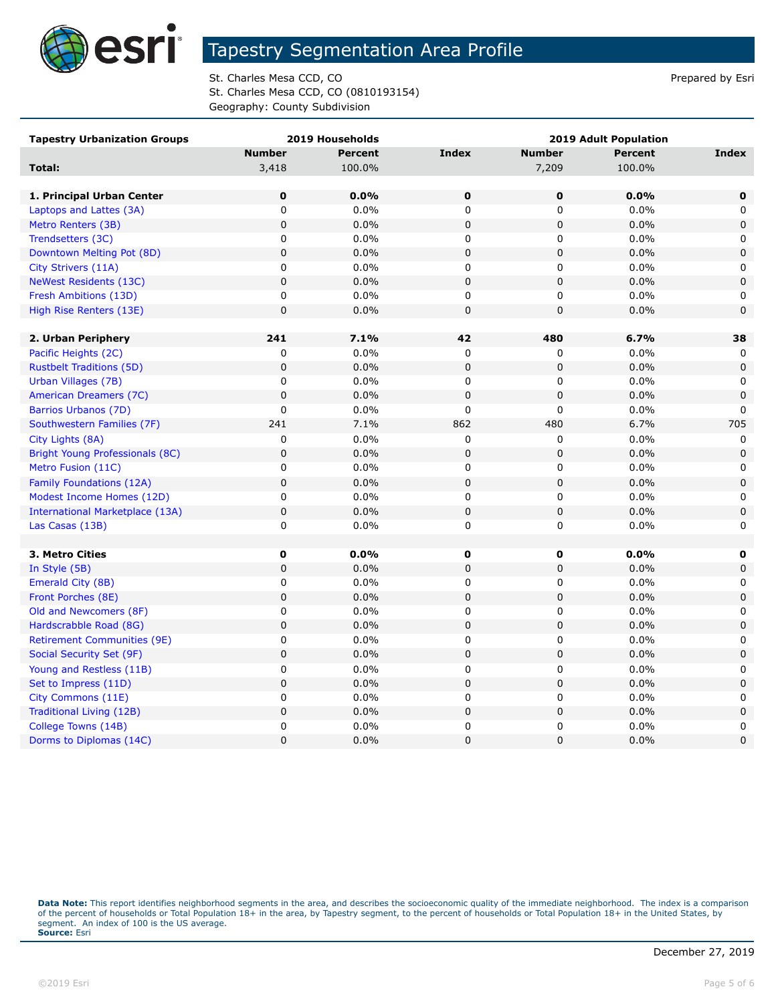

St. Charles Mesa CCD, CO **Prepared by Estimate St. Charles Mesa CCD**, CO St. Charles Mesa CCD, CO (0810193154) Geography: County Subdivision

| <b>Tapestry Urbanization Groups</b> |               | 2019 Households |                |                | <b>2019 Adult Population</b> |             |
|-------------------------------------|---------------|-----------------|----------------|----------------|------------------------------|-------------|
|                                     | <b>Number</b> | <b>Percent</b>  | Index          | <b>Number</b>  | <b>Percent</b>               | Index       |
| Total:                              | 3,418         | 100.0%          |                | 7,209          | 100.0%                       |             |
|                                     |               |                 |                |                |                              |             |
| 1. Principal Urban Center           | $\mathbf 0$   | 0.0%            | $\mathbf 0$    | $\mathbf 0$    | 0.0%                         | $\mathbf 0$ |
| Laptops and Lattes (3A)             | 0             | 0.0%            | 0              | 0              | 0.0%                         | 0           |
| Metro Renters (3B)                  | $\pmb{0}$     | 0.0%            | 0              | $\overline{0}$ | 0.0%                         | 0           |
| Trendsetters (3C)                   | 0             | $0.0\%$         | 0              | 0              | 0.0%                         | 0           |
| Downtown Melting Pot (8D)           | $\pmb{0}$     | 0.0%            | $\mathbf 0$    | 0              | 0.0%                         | $\mathbf 0$ |
| City Strivers (11A)                 | 0             | $0.0\%$         | 0              | 0              | 0.0%                         | $\mathbf 0$ |
| <b>NeWest Residents (13C)</b>       | $\pmb{0}$     | 0.0%            | $\pmb{0}$      | $\mathsf 0$    | 0.0%                         | $\pmb{0}$   |
| Fresh Ambitions (13D)               | 0             | $0.0\%$         | 0              | 0              | 0.0%                         | 0           |
| High Rise Renters (13E)             | $\pmb{0}$     | 0.0%            | $\mathsf 0$    | 0              | 0.0%                         | 0           |
|                                     |               |                 |                |                |                              |             |
| 2. Urban Periphery                  | 241           | 7.1%            | 42             | 480            | 6.7%                         | 38          |
| Pacific Heights (2C)                | 0             | 0.0%            | $\mathbf 0$    | 0              | 0.0%                         | $\Omega$    |
| <b>Rustbelt Traditions (5D)</b>     | $\pmb{0}$     | 0.0%            | 0              | $\pmb{0}$      | 0.0%                         | $\mathbf 0$ |
| Urban Villages (7B)                 | 0             | 0.0%            | 0              | 0              | 0.0%                         | 0           |
| American Dreamers (7C)              | $\pmb{0}$     | 0.0%            | $\mathbf 0$    | $\mathbf 0$    | 0.0%                         | $\mathbf 0$ |
| Barrios Urbanos (7D)                | 0             | $0.0\%$         | 0              | 0              | 0.0%                         | 0           |
| Southwestern Families (7F)          | 241           | 7.1%            | 862            | 480            | 6.7%                         | 705         |
| City Lights (8A)                    | 0             | 0.0%            | 0              | 0              | 0.0%                         | 0           |
| Bright Young Professionals (8C)     | $\pmb{0}$     | 0.0%            | $\mathbf 0$    | 0              | 0.0%                         | $\mathbf 0$ |
| Metro Fusion (11C)                  | 0             | $0.0\%$         | 0              | 0              | 0.0%                         | 0           |
| <b>Family Foundations (12A)</b>     | $\pmb{0}$     | 0.0%            | $\pmb{0}$      | 0              | 0.0%                         | $\mathsf 0$ |
| Modest Income Homes (12D)           | 0             | 0.0%            | 0              | 0              | 0.0%                         | 0           |
| International Marketplace (13A)     | $\mathbf 0$   | 0.0%            | $\mathsf 0$    | $\mathsf 0$    | 0.0%                         | $\pmb{0}$   |
| Las Casas (13B)                     | 0             | $0.0\%$         | 0              | 0              | 0.0%                         | 0           |
|                                     |               |                 |                |                |                              |             |
| 3. Metro Cities                     | $\mathbf 0$   | 0.0%            | $\mathbf 0$    | $\mathbf 0$    | $0.0\%$                      | 0           |
| In Style (5B)                       | $\pmb{0}$     | 0.0%            | $\pmb{0}$      | 0              | 0.0%                         | $\mathbf 0$ |
| Emerald City (8B)                   | 0             | 0.0%            | 0              | 0              | 0.0%                         | 0           |
| Front Porches (8E)                  | $\mathbf 0$   | 0.0%            | $\mathsf 0$    | $\mathsf 0$    | 0.0%                         | 0           |
| Old and Newcomers (8F)              | 0             | 0.0%            | 0              | 0              | 0.0%                         | 0           |
| Hardscrabble Road (8G)              | $\pmb{0}$     | 0.0%            | $\pmb{0}$      | $\pmb{0}$      | 0.0%                         | 0           |
| <b>Retirement Communities (9E)</b>  | 0             | 0.0%            | 0              | 0              | 0.0%                         | 0           |
| Social Security Set (9F)            | $\mathbf 0$   | 0.0%            | $\pmb{0}$      | $\pmb{0}$      | 0.0%                         | $\mathbf 0$ |
| Young and Restless (11B)            | 0             | $0.0\%$         | 0              | 0              | 0.0%                         | 0           |
| Set to Impress (11D)                | $\pmb{0}$     | 0.0%            | $\pmb{0}$      | 0              | 0.0%                         | 0           |
| City Commons (11E)                  | $\pmb{0}$     | $0.0\%$         | $\pmb{0}$      | 0              | 0.0%                         | 0           |
| Traditional Living (12B)            | $\mathbf 0$   | 0.0%            | $\mathsf 0$    | $\mathsf 0$    | 0.0%                         | $\pmb{0}$   |
| College Towns (14B)                 | 0             | $0.0\%$         | 0              | 0              | 0.0%                         | 0           |
| Dorms to Diplomas (14C)             | $\mathbf 0$   | 0.0%            | $\overline{0}$ | 0              | 0.0%                         | $\mathbf 0$ |

Data Note: This report identifies neighborhood segments in the area, and describes the socioeconomic quality of the immediate neighborhood. The index is a comparison of the percent of households or Total Population 18+ in the area, by Tapestry segment, to the percent of households or Total Population 18+ in the United States, by<br>segment. An index of 100 is the US average.<br>**Source:** Es